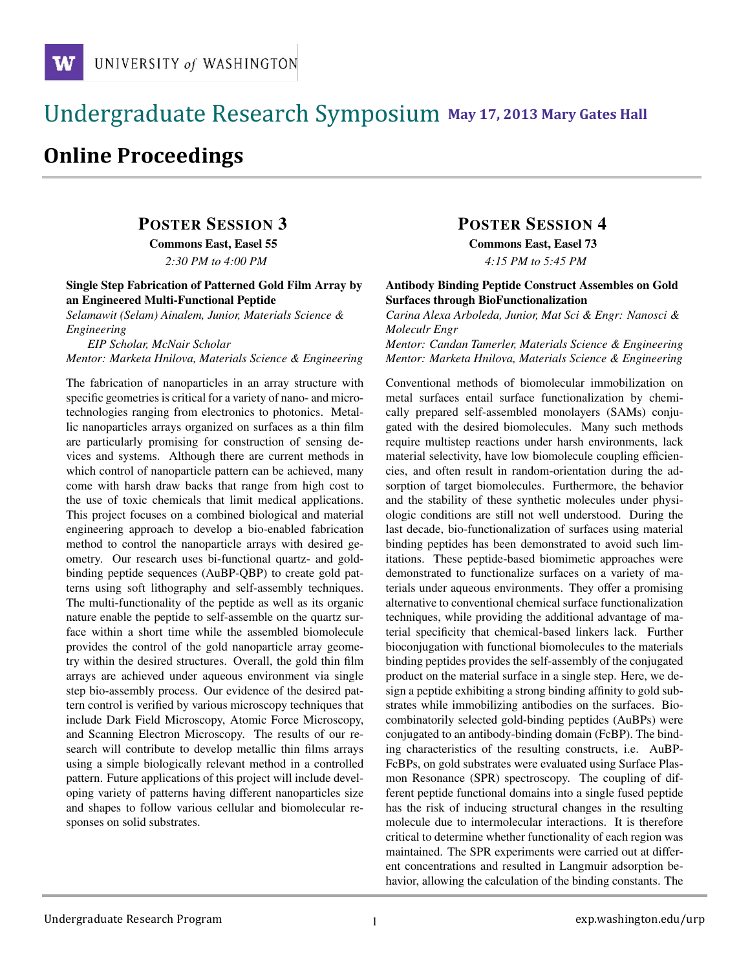### !!!!!!!!!!!!!!!!!!!!!!!!!!!!!!!!!!!!!!!!!!!!!!!!!!!!!!!!!!!!!!!!!!!!!!!!!!!!!!!!!!!!!!!!!!!!!!!!! **111 May 17, 2013 Mary Gates Hall** !!!!!!!!!!!!!!!!!!!!!!!!!!!!!!!!!!!!!!!!!!!!!!!!!!!!!!!!!!!!!!!!!!!!!!!!!!!!!!!!!!

# **Online Proceedings**

## POSTER SESSION 3

Commons East, Easel 55

*2:30 PM to 4:00 PM*

#### Single Step Fabrication of Patterned Gold Film Array by an Engineered Multi-Functional Peptide

*Selamawit (Selam) Ainalem, Junior, Materials Science & Engineering*

*EIP Scholar, McNair Scholar*

*Mentor: Marketa Hnilova, Materials Science & Engineering*

The fabrication of nanoparticles in an array structure with specific geometries is critical for a variety of nano- and microtechnologies ranging from electronics to photonics. Metallic nanoparticles arrays organized on surfaces as a thin film are particularly promising for construction of sensing devices and systems. Although there are current methods in which control of nanoparticle pattern can be achieved, many come with harsh draw backs that range from high cost to the use of toxic chemicals that limit medical applications. This project focuses on a combined biological and material engineering approach to develop a bio-enabled fabrication method to control the nanoparticle arrays with desired geometry. Our research uses bi-functional quartz- and goldbinding peptide sequences (AuBP-QBP) to create gold patterns using soft lithography and self-assembly techniques. The multi-functionality of the peptide as well as its organic nature enable the peptide to self-assemble on the quartz surface within a short time while the assembled biomolecule provides the control of the gold nanoparticle array geometry within the desired structures. Overall, the gold thin film arrays are achieved under aqueous environment via single step bio-assembly process. Our evidence of the desired pattern control is verified by various microscopy techniques that include Dark Field Microscopy, Atomic Force Microscopy, and Scanning Electron Microscopy. The results of our research will contribute to develop metallic thin films arrays using a simple biologically relevant method in a controlled pattern. Future applications of this project will include developing variety of patterns having different nanoparticles size and shapes to follow various cellular and biomolecular responses on solid substrates.

## POSTER SESSION 4

Commons East, Easel 73 *4:15 PM to 5:45 PM*

#### Antibody Binding Peptide Construct Assembles on Gold Surfaces through BioFunctionalization

*Carina Alexa Arboleda, Junior, Mat Sci & Engr: Nanosci & Moleculr Engr*

*Mentor: Candan Tamerler, Materials Science & Engineering Mentor: Marketa Hnilova, Materials Science & Engineering*

Conventional methods of biomolecular immobilization on metal surfaces entail surface functionalization by chemically prepared self-assembled monolayers (SAMs) conjugated with the desired biomolecules. Many such methods require multistep reactions under harsh environments, lack material selectivity, have low biomolecule coupling efficiencies, and often result in random-orientation during the adsorption of target biomolecules. Furthermore, the behavior and the stability of these synthetic molecules under physiologic conditions are still not well understood. During the last decade, bio-functionalization of surfaces using material binding peptides has been demonstrated to avoid such limitations. These peptide-based biomimetic approaches were demonstrated to functionalize surfaces on a variety of materials under aqueous environments. They offer a promising alternative to conventional chemical surface functionalization techniques, while providing the additional advantage of material specificity that chemical-based linkers lack. Further bioconjugation with functional biomolecules to the materials binding peptides provides the self-assembly of the conjugated product on the material surface in a single step. Here, we design a peptide exhibiting a strong binding affinity to gold substrates while immobilizing antibodies on the surfaces. Biocombinatorily selected gold-binding peptides (AuBPs) were conjugated to an antibody-binding domain (FcBP). The binding characteristics of the resulting constructs, i.e. AuBP-FcBPs, on gold substrates were evaluated using Surface Plasmon Resonance (SPR) spectroscopy. The coupling of different peptide functional domains into a single fused peptide has the risk of inducing structural changes in the resulting molecule due to intermolecular interactions. It is therefore critical to determine whether functionality of each region was maintained. The SPR experiments were carried out at different concentrations and resulted in Langmuir adsorption behavior, allowing the calculation of the binding constants. The